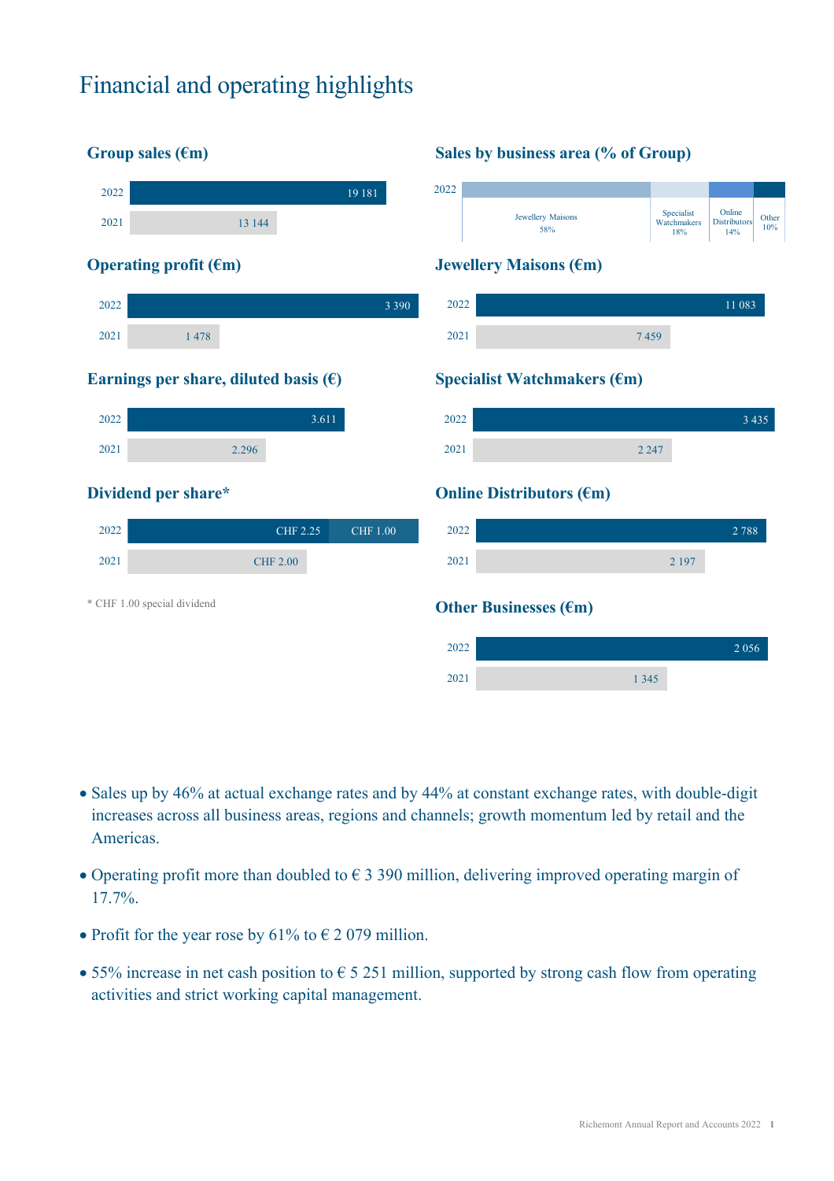# Financial and operating highlights



- Sales up by 46% at actual exchange rates and by 44% at constant exchange rates, with double-digit increases across all business areas, regions and channels; growth momentum led by retail and the Americas.
- Operating profit more than doubled to  $\epsilon$  3 390 million, delivering improved operating margin of 17.7%.
- Profit for the year rose by 61% to  $\epsilon$  2 079 million.
- 55% increase in net cash position to  $\epsilon$  5 251 million, supported by strong cash flow from operating activities and strict working capital management.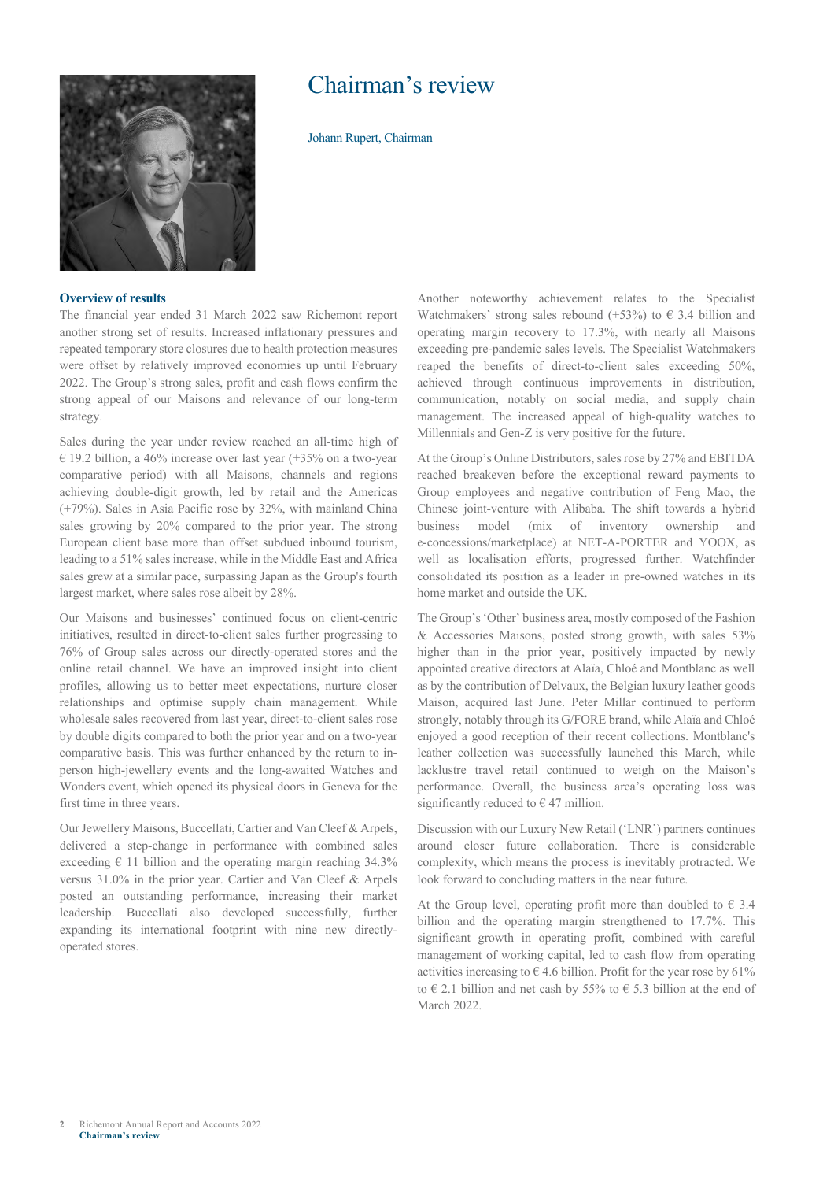

## Chairman's review

Johann Rupert, Chairman

### **Overview of results**

The financial year ended 31 March 2022 saw Richemont report another strong set of results. Increased inflationary pressures and repeated temporary store closures due to health protection measures were offset by relatively improved economies up until February 2022. The Group's strong sales, profit and cash flows confirm the strong appeal of our Maisons and relevance of our long-term strategy.

Sales during the year under review reached an all-time high of € 19.2 billion, a 46% increase over last year (+35% on a two-year comparative period) with all Maisons, channels and regions achieving double-digit growth, led by retail and the Americas (+79%). Sales in Asia Pacific rose by 32%, with mainland China sales growing by 20% compared to the prior year. The strong European client base more than offset subdued inbound tourism, leading to a 51% sales increase, while in the Middle East and Africa sales grew at a similar pace, surpassing Japan as the Group's fourth largest market, where sales rose albeit by 28%.

Our Maisons and businesses' continued focus on client-centric initiatives, resulted in direct-to-client sales further progressing to 76% of Group sales across our directly-operated stores and the online retail channel. We have an improved insight into client profiles, allowing us to better meet expectations, nurture closer relationships and optimise supply chain management. While wholesale sales recovered from last year, direct-to-client sales rose by double digits compared to both the prior year and on a two-year comparative basis. This was further enhanced by the return to inperson high-jewellery events and the long-awaited Watches and Wonders event, which opened its physical doors in Geneva for the first time in three years.

Our Jewellery Maisons, Buccellati, Cartier and Van Cleef & Arpels, delivered a step-change in performance with combined sales exceeding  $\in$  11 billion and the operating margin reaching 34.3% versus 31.0% in the prior year. Cartier and Van Cleef & Arpels posted an outstanding performance, increasing their market leadership. Buccellati also developed successfully, further expanding its international footprint with nine new directlyoperated stores.

Another noteworthy achievement relates to the Specialist Watchmakers' strong sales rebound (+53%) to  $\epsilon$  3.4 billion and operating margin recovery to 17.3%, with nearly all Maisons exceeding pre-pandemic sales levels. The Specialist Watchmakers reaped the benefits of direct-to-client sales exceeding 50%, achieved through continuous improvements in distribution, communication, notably on social media, and supply chain management. The increased appeal of high-quality watches to Millennials and Gen-Z is very positive for the future.

At the Group's Online Distributors, sales rose by 27% and EBITDA reached breakeven before the exceptional reward payments to Group employees and negative contribution of Feng Mao, the Chinese joint-venture with Alibaba. The shift towards a hybrid business model (mix of inventory ownership and e-concessions/marketplace) at NET-A-PORTER and YOOX, as well as localisation efforts, progressed further. Watchfinder consolidated its position as a leader in pre-owned watches in its home market and outside the UK.

The Group's 'Other' business area, mostly composed of the Fashion & Accessories Maisons, posted strong growth, with sales 53% higher than in the prior year, positively impacted by newly appointed creative directors at Alaïa, Chloé and Montblanc as well as by the contribution of Delvaux, the Belgian luxury leather goods Maison, acquired last June. Peter Millar continued to perform strongly, notably through its G/FORE brand, while Alaïa and Chloé enjoyed a good reception of their recent collections. Montblanc's leather collection was successfully launched this March, while lacklustre travel retail continued to weigh on the Maison's performance. Overall, the business area's operating loss was significantly reduced to  $\in$  47 million.

Discussion with our Luxury New Retail ('LNR') partners continues around closer future collaboration. There is considerable complexity, which means the process is inevitably protracted. We look forward to concluding matters in the near future.

At the Group level, operating profit more than doubled to  $\epsilon$  3.4 billion and the operating margin strengthened to 17.7%. This significant growth in operating profit, combined with careful management of working capital, led to cash flow from operating activities increasing to  $\epsilon$  4.6 billion. Profit for the year rose by 61% to  $\in$  2.1 billion and net cash by 55% to  $\in$  5.3 billion at the end of March 2022.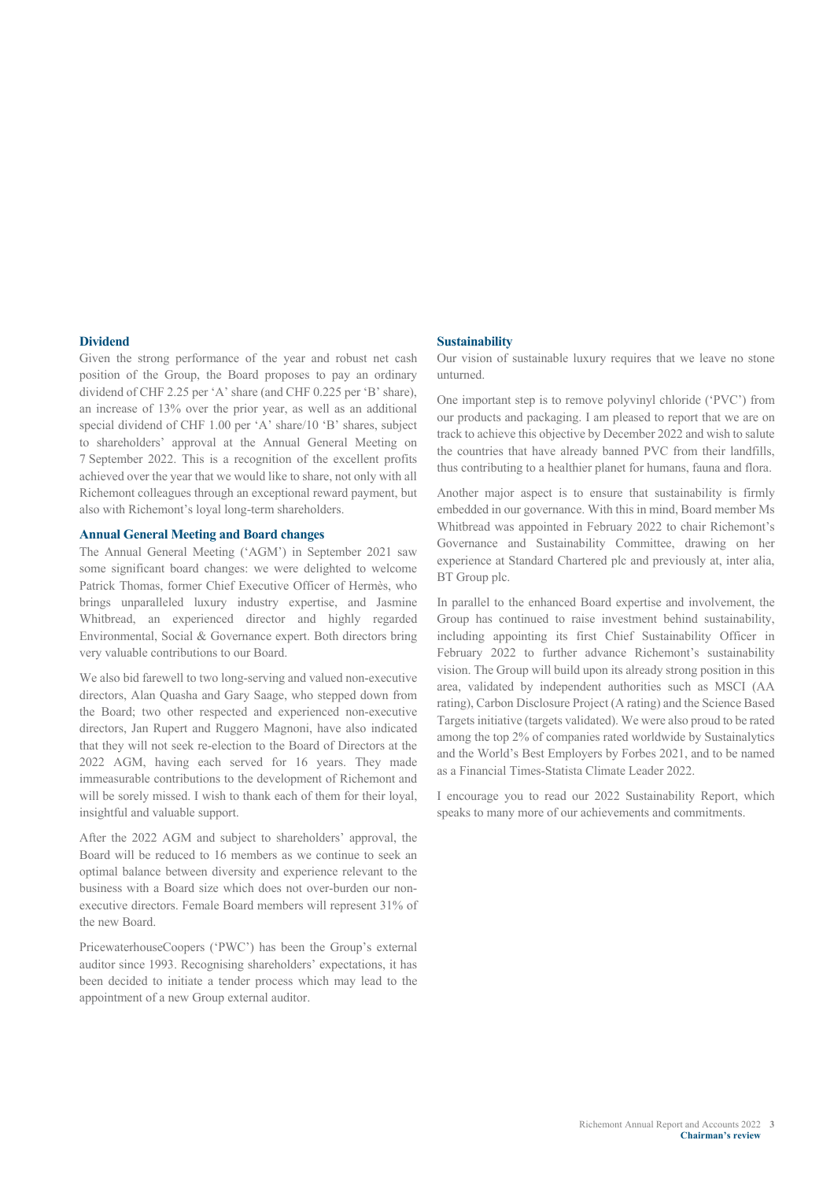#### **Dividend**

Given the strong performance of the year and robust net cash position of the Group, the Board proposes to pay an ordinary dividend of CHF 2.25 per 'A' share (and CHF 0.225 per 'B' share), an increase of 13% over the prior year, as well as an additional special dividend of CHF 1.00 per 'A' share/10 'B' shares, subject to shareholders' approval at the Annual General Meeting on 7 September 2022. This is a recognition of the excellent profits achieved over the year that we would like to share, not only with all Richemont colleagues through an exceptional reward payment, but also with Richemont's loyal long-term shareholders.

#### **Annual General Meeting and Board changes**

The Annual General Meeting ('AGM') in September 2021 saw some significant board changes: we were delighted to welcome Patrick Thomas, former Chief Executive Officer of Hermès, who brings unparalleled luxury industry expertise, and Jasmine Whitbread, an experienced director and highly regarded Environmental, Social & Governance expert. Both directors bring very valuable contributions to our Board.

We also bid farewell to two long-serving and valued non-executive directors, Alan Quasha and Gary Saage, who stepped down from the Board; two other respected and experienced non-executive directors, Jan Rupert and Ruggero Magnoni, have also indicated that they will not seek re-election to the Board of Directors at the 2022 AGM, having each served for 16 years. They made immeasurable contributions to the development of Richemont and will be sorely missed. I wish to thank each of them for their loyal, insightful and valuable support.

After the 2022 AGM and subject to shareholders' approval, the Board will be reduced to 16 members as we continue to seek an optimal balance between diversity and experience relevant to the business with a Board size which does not over-burden our nonexecutive directors. Female Board members will represent 31% of the new Board.

PricewaterhouseCoopers ('PWC') has been the Group's external auditor since 1993. Recognising shareholders' expectations, it has been decided to initiate a tender process which may lead to the appointment of a new Group external auditor.

#### **Sustainability**

Our vision of sustainable luxury requires that we leave no stone unturned.

One important step is to remove polyvinyl chloride ('PVC') from our products and packaging. I am pleased to report that we are on track to achieve this objective by December 2022 and wish to salute the countries that have already banned PVC from their landfills, thus contributing to a healthier planet for humans, fauna and flora.

Another major aspect is to ensure that sustainability is firmly embedded in our governance. With this in mind, Board member Ms Whitbread was appointed in February 2022 to chair Richemont's Governance and Sustainability Committee, drawing on her experience at Standard Chartered plc and previously at, inter alia, BT Group plc.

In parallel to the enhanced Board expertise and involvement, the Group has continued to raise investment behind sustainability, including appointing its first Chief Sustainability Officer in February 2022 to further advance Richemont's sustainability vision. The Group will build upon its already strong position in this area, validated by independent authorities such as MSCI (AA rating), Carbon Disclosure Project (A rating) and the Science Based Targets initiative (targets validated). We were also proud to be rated among the top 2% of companies rated worldwide by Sustainalytics and the World's Best Employers by Forbes 2021, and to be named as a Financial Times-Statista Climate Leader 2022.

I encourage you to read our 2022 Sustainability Report, which speaks to many more of our achievements and commitments.